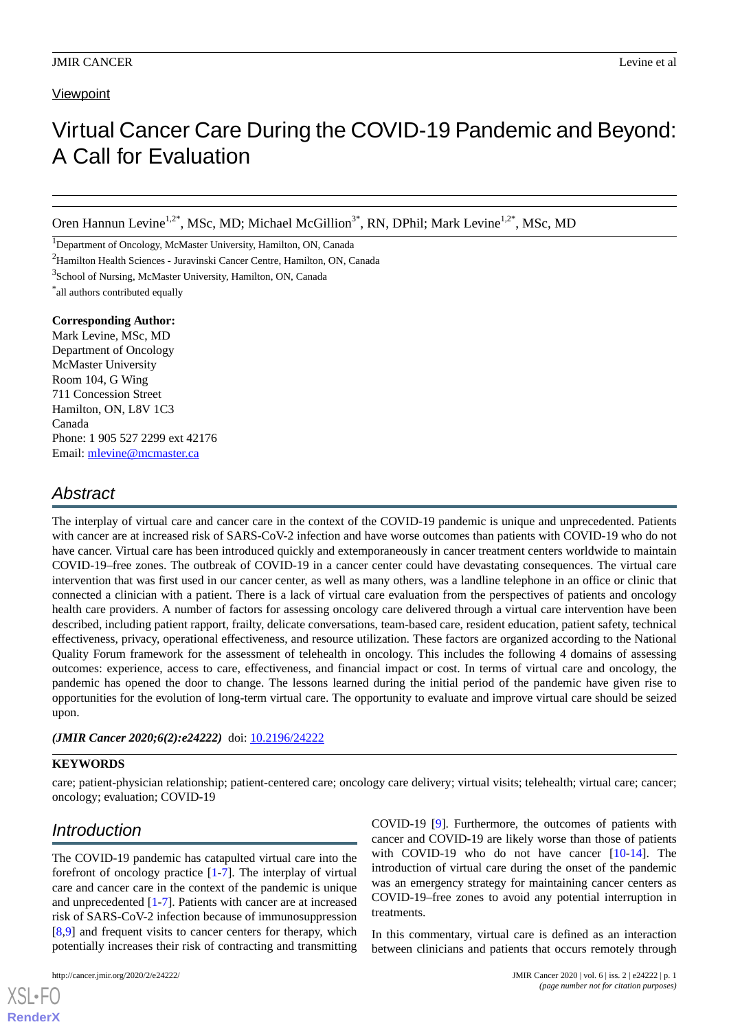#### **Viewpoint**

# Virtual Cancer Care During the COVID-19 Pandemic and Beyond: A Call for Evaluation

Oren Hannun Levine<sup>1,2\*</sup>, MSc, MD; Michael McGillion<sup>3\*</sup>, RN, DPhil; Mark Levine<sup>1,2\*</sup>, MSc, MD

<sup>1</sup>Department of Oncology, McMaster University, Hamilton, ON, Canada

<sup>2</sup>Hamilton Health Sciences - Juravinski Cancer Centre, Hamilton, ON, Canada

<sup>3</sup>School of Nursing, McMaster University, Hamilton, ON, Canada

\* all authors contributed equally

#### **Corresponding Author:**

Mark Levine, MSc, MD Department of Oncology McMaster University Room 104, G Wing 711 Concession Street Hamilton, ON, L8V 1C3 Canada Phone: 1 905 527 2299 ext 42176 Email: [mlevine@mcmaster.ca](mailto:mlevine@mcmaster.ca)

### *Abstract*

The interplay of virtual care and cancer care in the context of the COVID-19 pandemic is unique and unprecedented. Patients with cancer are at increased risk of SARS-CoV-2 infection and have worse outcomes than patients with COVID-19 who do not have cancer. Virtual care has been introduced quickly and extemporaneously in cancer treatment centers worldwide to maintain COVID-19–free zones. The outbreak of COVID-19 in a cancer center could have devastating consequences. The virtual care intervention that was first used in our cancer center, as well as many others, was a landline telephone in an office or clinic that connected a clinician with a patient. There is a lack of virtual care evaluation from the perspectives of patients and oncology health care providers. A number of factors for assessing oncology care delivered through a virtual care intervention have been described, including patient rapport, frailty, delicate conversations, team-based care, resident education, patient safety, technical effectiveness, privacy, operational effectiveness, and resource utilization. These factors are organized according to the National Quality Forum framework for the assessment of telehealth in oncology. This includes the following 4 domains of assessing outcomes: experience, access to care, effectiveness, and financial impact or cost. In terms of virtual care and oncology, the pandemic has opened the door to change. The lessons learned during the initial period of the pandemic have given rise to opportunities for the evolution of long-term virtual care. The opportunity to evaluate and improve virtual care should be seized upon.

#### *(JMIR Cancer 2020;6(2):e24222)* doi: [10.2196/24222](http://dx.doi.org/10.2196/24222)

#### **KEYWORDS**

care; patient-physician relationship; patient-centered care; oncology care delivery; virtual visits; telehealth; virtual care; cancer; oncology; evaluation; COVID-19

### *Introduction*

The COVID-19 pandemic has catapulted virtual care into the forefront of oncology practice [[1-](#page-3-0)[7](#page-3-1)]. The interplay of virtual care and cancer care in the context of the pandemic is unique and unprecedented [[1](#page-3-0)[-7](#page-3-1)]. Patients with cancer are at increased risk of SARS-CoV-2 infection because of immunosuppression [[8](#page-3-2)[,9](#page-3-3)] and frequent visits to cancer centers for therapy, which potentially increases their risk of contracting and transmitting

[XSL](http://www.w3.org/Style/XSL)•FO **[RenderX](http://www.renderx.com/)**

COVID-19 [[9\]](#page-3-3). Furthermore, the outcomes of patients with cancer and COVID-19 are likely worse than those of patients with COVID-19 who do not have cancer [\[10](#page-3-4)-[14\]](#page-3-5). The introduction of virtual care during the onset of the pandemic was an emergency strategy for maintaining cancer centers as COVID-19–free zones to avoid any potential interruption in treatments.

In this commentary, virtual care is defined as an interaction between clinicians and patients that occurs remotely through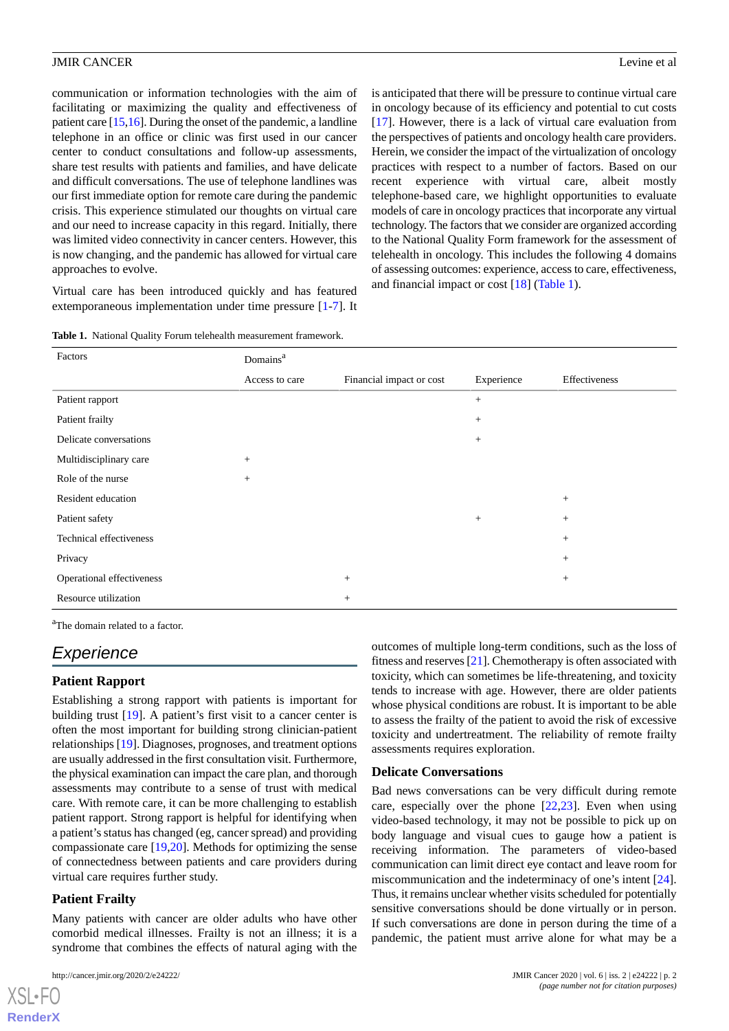#### JMIR CANCER Levine et al.

communication or information technologies with the aim of facilitating or maximizing the quality and effectiveness of patient care [\[15](#page-3-6)[,16](#page-3-7)]. During the onset of the pandemic, a landline telephone in an office or clinic was first used in our cancer center to conduct consultations and follow-up assessments, share test results with patients and families, and have delicate and difficult conversations. The use of telephone landlines was our first immediate option for remote care during the pandemic crisis. This experience stimulated our thoughts on virtual care and our need to increase capacity in this regard. Initially, there was limited video connectivity in cancer centers. However, this is now changing, and the pandemic has allowed for virtual care approaches to evolve.

<span id="page-1-0"></span>Virtual care has been introduced quickly and has featured extemporaneous implementation under time pressure [\[1](#page-3-0)-[7\]](#page-3-1). It

is anticipated that there will be pressure to continue virtual care in oncology because of its efficiency and potential to cut costs [[17\]](#page-3-8). However, there is a lack of virtual care evaluation from the perspectives of patients and oncology health care providers. Herein, we consider the impact of the virtualization of oncology practices with respect to a number of factors. Based on our recent experience with virtual care, albeit mostly telephone-based care, we highlight opportunities to evaluate models of care in oncology practices that incorporate any virtual technology. The factors that we consider are organized according to the National Quality Form framework for the assessment of telehealth in oncology. This includes the following 4 domains of assessing outcomes: experience, access to care, effectiveness, and financial impact or cost [\[18](#page-3-9)] ([Table 1\)](#page-1-0).

**Table 1.** National Quality Forum telehealth measurement framework.

| Factors                   | Domains <sup>a</sup> |                          |            |               |
|---------------------------|----------------------|--------------------------|------------|---------------|
|                           | Access to care       | Financial impact or cost | Experience | Effectiveness |
| Patient rapport           |                      |                          | $^{+}$     |               |
| Patient frailty           |                      |                          | $^{+}$     |               |
| Delicate conversations    |                      |                          | $^{+}$     |               |
| Multidisciplinary care    | $^{+}$               |                          |            |               |
| Role of the nurse         | $^{+}$               |                          |            |               |
| Resident education        |                      |                          |            | $^{+}$        |
| Patient safety            |                      |                          | $+$        | $^{+}$        |
| Technical effectiveness   |                      |                          |            | $^{+}$        |
| Privacy                   |                      |                          |            | $^{+}$        |
| Operational effectiveness |                      | $^{+}$                   |            | $^{+}$        |
| Resource utilization      |                      | $+$                      |            |               |

<sup>a</sup>The domain related to a factor.

### *Experience*

#### **Patient Rapport**

Establishing a strong rapport with patients is important for building trust [\[19](#page-3-10)]. A patient's first visit to a cancer center is often the most important for building strong clinician-patient relationships [\[19](#page-3-10)]. Diagnoses, prognoses, and treatment options are usually addressed in the first consultation visit. Furthermore, the physical examination can impact the care plan, and thorough assessments may contribute to a sense of trust with medical care. With remote care, it can be more challenging to establish patient rapport. Strong rapport is helpful for identifying when a patient's status has changed (eg, cancer spread) and providing compassionate care [\[19](#page-3-10)[,20](#page-3-11)]. Methods for optimizing the sense of connectedness between patients and care providers during virtual care requires further study.

#### **Patient Frailty**

 $XS$  • FO **[RenderX](http://www.renderx.com/)**

Many patients with cancer are older adults who have other comorbid medical illnesses. Frailty is not an illness; it is a syndrome that combines the effects of natural aging with the

outcomes of multiple long-term conditions, such as the loss of fitness and reserves [[21](#page-3-12)]. Chemotherapy is often associated with toxicity, which can sometimes be life-threatening, and toxicity tends to increase with age. However, there are older patients whose physical conditions are robust. It is important to be able to assess the frailty of the patient to avoid the risk of excessive toxicity and undertreatment. The reliability of remote frailty assessments requires exploration.

#### **Delicate Conversations**

Bad news conversations can be very difficult during remote care, especially over the phone  $[22,23]$  $[22,23]$  $[22,23]$  $[22,23]$ . Even when using video-based technology, it may not be possible to pick up on body language and visual cues to gauge how a patient is receiving information. The parameters of video-based communication can limit direct eye contact and leave room for miscommunication and the indeterminacy of one's intent [[24\]](#page-4-1). Thus, it remains unclear whether visits scheduled for potentially sensitive conversations should be done virtually or in person. If such conversations are done in person during the time of a pandemic, the patient must arrive alone for what may be a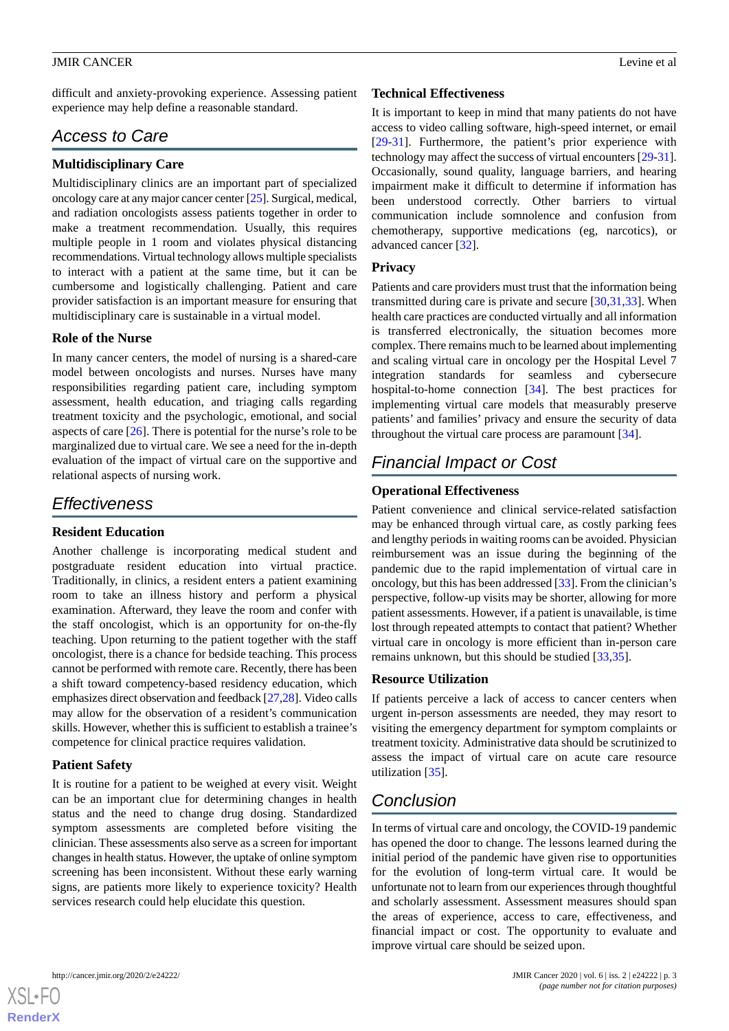#### JMIR CANCER Levine et al.

difficult and anxiety-provoking experience. Assessing patient experience may help define a reasonable standard.

### *Access to Care*

#### **Multidisciplinary Care**

Multidisciplinary clinics are an important part of specialized oncology care at any major cancer center [\[25](#page-4-2)]. Surgical, medical, and radiation oncologists assess patients together in order to make a treatment recommendation. Usually, this requires multiple people in 1 room and violates physical distancing recommendations. Virtual technology allows multiple specialists to interact with a patient at the same time, but it can be cumbersome and logistically challenging. Patient and care provider satisfaction is an important measure for ensuring that multidisciplinary care is sustainable in a virtual model.

#### **Role of the Nurse**

In many cancer centers, the model of nursing is a shared-care model between oncologists and nurses. Nurses have many responsibilities regarding patient care, including symptom assessment, health education, and triaging calls regarding treatment toxicity and the psychologic, emotional, and social aspects of care [\[26](#page-4-3)]. There is potential for the nurse's role to be marginalized due to virtual care. We see a need for the in-depth evaluation of the impact of virtual care on the supportive and relational aspects of nursing work.

### *Effectiveness*

#### **Resident Education**

Another challenge is incorporating medical student and postgraduate resident education into virtual practice. Traditionally, in clinics, a resident enters a patient examining room to take an illness history and perform a physical examination. Afterward, they leave the room and confer with the staff oncologist, which is an opportunity for on-the-fly teaching. Upon returning to the patient together with the staff oncologist, there is a chance for bedside teaching. This process cannot be performed with remote care. Recently, there has been a shift toward competency-based residency education, which emphasizes direct observation and feedback [\[27](#page-4-4),[28\]](#page-4-5). Video calls may allow for the observation of a resident's communication skills. However, whether this is sufficient to establish a trainee's competence for clinical practice requires validation.

#### **Patient Safety**

It is routine for a patient to be weighed at every visit. Weight can be an important clue for determining changes in health status and the need to change drug dosing. Standardized symptom assessments are completed before visiting the clinician. These assessments also serve as a screen for important changes in health status. However, the uptake of online symptom screening has been inconsistent. Without these early warning signs, are patients more likely to experience toxicity? Health services research could help elucidate this question.

#### **Technical Effectiveness**

It is important to keep in mind that many patients do not have access to video calling software, high-speed internet, or email [[29](#page-4-6)[-31](#page-4-7)]. Furthermore, the patient's prior experience with technology may affect the success of virtual encounters [\[29](#page-4-6)[-31](#page-4-7)]. Occasionally, sound quality, language barriers, and hearing impairment make it difficult to determine if information has been understood correctly. Other barriers to virtual communication include somnolence and confusion from chemotherapy, supportive medications (eg, narcotics), or advanced cancer [[32\]](#page-4-8).

#### **Privacy**

Patients and care providers must trust that the information being transmitted during care is private and secure  $[30,31,33]$  $[30,31,33]$  $[30,31,33]$  $[30,31,33]$  $[30,31,33]$ . When health care practices are conducted virtually and all information is transferred electronically, the situation becomes more complex. There remains much to be learned about implementing and scaling virtual care in oncology per the Hospital Level 7 integration standards for seamless and cybersecure hospital-to-home connection [\[34](#page-4-11)]. The best practices for implementing virtual care models that measurably preserve patients' and families' privacy and ensure the security of data throughout the virtual care process are paramount [\[34](#page-4-11)].

### *Financial Impact or Cost*

#### **Operational Effectiveness**

Patient convenience and clinical service-related satisfaction may be enhanced through virtual care, as costly parking fees and lengthy periods in waiting rooms can be avoided. Physician reimbursement was an issue during the beginning of the pandemic due to the rapid implementation of virtual care in oncology, but this has been addressed [\[33](#page-4-10)]. From the clinician's perspective, follow-up visits may be shorter, allowing for more patient assessments. However, if a patient is unavailable, is time lost through repeated attempts to contact that patient? Whether virtual care in oncology is more efficient than in-person care remains unknown, but this should be studied [[33,](#page-4-10)[35](#page-4-12)].

#### **Resource Utilization**

If patients perceive a lack of access to cancer centers when urgent in-person assessments are needed, they may resort to visiting the emergency department for symptom complaints or treatment toxicity. Administrative data should be scrutinized to assess the impact of virtual care on acute care resource utilization [\[35](#page-4-12)].

## *Conclusion*

In terms of virtual care and oncology, the COVID-19 pandemic has opened the door to change. The lessons learned during the initial period of the pandemic have given rise to opportunities for the evolution of long-term virtual care. It would be unfortunate not to learn from our experiences through thoughtful and scholarly assessment. Assessment measures should span the areas of experience, access to care, effectiveness, and financial impact or cost. The opportunity to evaluate and improve virtual care should be seized upon.

```
XSL•FO
RenderX
```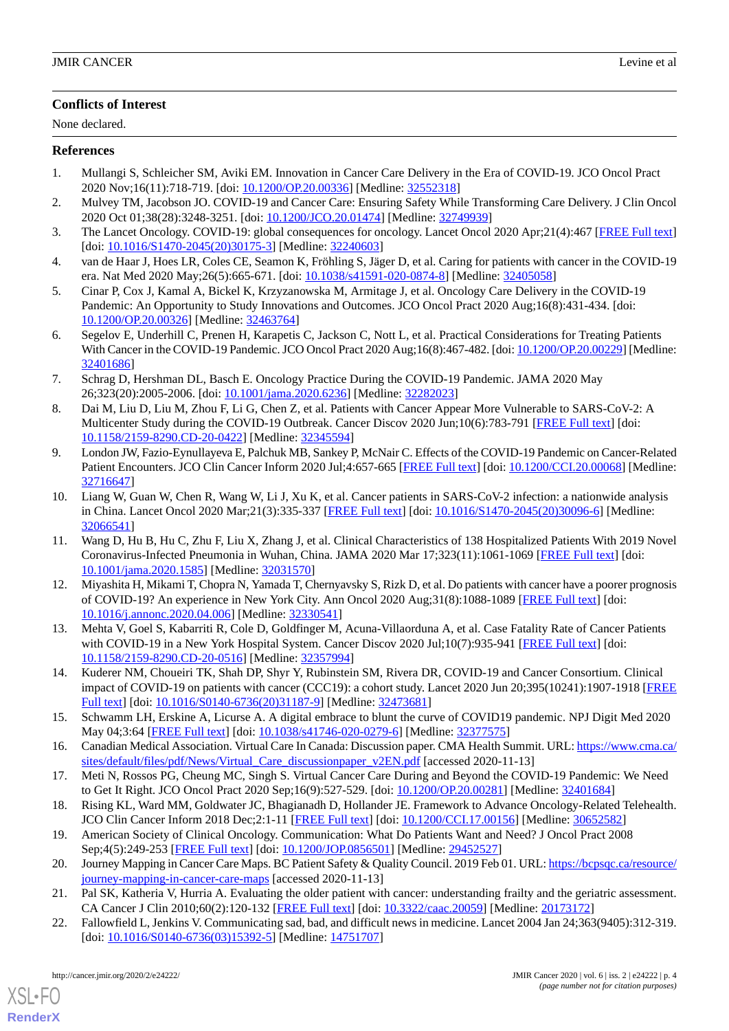#### **Conflicts of Interest**

None declared.

#### <span id="page-3-0"></span>**References**

- 1. Mullangi S, Schleicher SM, Aviki EM. Innovation in Cancer Care Delivery in the Era of COVID-19. JCO Oncol Pract 2020 Nov;16(11):718-719. [doi: [10.1200/OP.20.00336\]](http://dx.doi.org/10.1200/OP.20.00336) [Medline: [32552318\]](http://www.ncbi.nlm.nih.gov/entrez/query.fcgi?cmd=Retrieve&db=PubMed&list_uids=32552318&dopt=Abstract)
- 2. Mulvey TM, Jacobson JO. COVID-19 and Cancer Care: Ensuring Safety While Transforming Care Delivery. J Clin Oncol 2020 Oct 01;38(28):3248-3251. [doi: [10.1200/JCO.20.01474\]](http://dx.doi.org/10.1200/JCO.20.01474) [Medline: [32749939\]](http://www.ncbi.nlm.nih.gov/entrez/query.fcgi?cmd=Retrieve&db=PubMed&list_uids=32749939&dopt=Abstract)
- 3. The Lancet Oncology. COVID-19: global consequences for oncology. Lancet Oncol 2020 Apr;21(4):467 [\[FREE Full text](http://europepmc.org/abstract/MED/32240603)] [doi: [10.1016/S1470-2045\(20\)30175-3](http://dx.doi.org/10.1016/S1470-2045(20)30175-3)] [Medline: [32240603\]](http://www.ncbi.nlm.nih.gov/entrez/query.fcgi?cmd=Retrieve&db=PubMed&list_uids=32240603&dopt=Abstract)
- 4. van de Haar J, Hoes LR, Coles CE, Seamon K, Fröhling S, Jäger D, et al. Caring for patients with cancer in the COVID-19 era. Nat Med 2020 May;26(5):665-671. [doi: [10.1038/s41591-020-0874-8](http://dx.doi.org/10.1038/s41591-020-0874-8)] [Medline: [32405058](http://www.ncbi.nlm.nih.gov/entrez/query.fcgi?cmd=Retrieve&db=PubMed&list_uids=32405058&dopt=Abstract)]
- 5. Cinar P, Cox J, Kamal A, Bickel K, Krzyzanowska M, Armitage J, et al. Oncology Care Delivery in the COVID-19 Pandemic: An Opportunity to Study Innovations and Outcomes. JCO Oncol Pract 2020 Aug;16(8):431-434. [doi: [10.1200/OP.20.00326\]](http://dx.doi.org/10.1200/OP.20.00326) [Medline: [32463764](http://www.ncbi.nlm.nih.gov/entrez/query.fcgi?cmd=Retrieve&db=PubMed&list_uids=32463764&dopt=Abstract)]
- <span id="page-3-1"></span>6. Segelov E, Underhill C, Prenen H, Karapetis C, Jackson C, Nott L, et al. Practical Considerations for Treating Patients With Cancer in the COVID-19 Pandemic. JCO Oncol Pract 2020 Aug;16(8):467-482. [doi: [10.1200/OP.20.00229](http://dx.doi.org/10.1200/OP.20.00229)] [Medline: [32401686](http://www.ncbi.nlm.nih.gov/entrez/query.fcgi?cmd=Retrieve&db=PubMed&list_uids=32401686&dopt=Abstract)]
- <span id="page-3-2"></span>7. Schrag D, Hershman DL, Basch E. Oncology Practice During the COVID-19 Pandemic. JAMA 2020 May 26;323(20):2005-2006. [doi: [10.1001/jama.2020.6236](http://dx.doi.org/10.1001/jama.2020.6236)] [Medline: [32282023\]](http://www.ncbi.nlm.nih.gov/entrez/query.fcgi?cmd=Retrieve&db=PubMed&list_uids=32282023&dopt=Abstract)
- <span id="page-3-3"></span>8. Dai M, Liu D, Liu M, Zhou F, Li G, Chen Z, et al. Patients with Cancer Appear More Vulnerable to SARS-CoV-2: A Multicenter Study during the COVID-19 Outbreak. Cancer Discov 2020 Jun:10(6):783-791 [\[FREE Full text\]](http://cancerdiscovery.aacrjournals.org/lookup/pmidlookup?view=long&pmid=32345594) [doi: [10.1158/2159-8290.CD-20-0422](http://dx.doi.org/10.1158/2159-8290.CD-20-0422)] [Medline: [32345594\]](http://www.ncbi.nlm.nih.gov/entrez/query.fcgi?cmd=Retrieve&db=PubMed&list_uids=32345594&dopt=Abstract)
- <span id="page-3-4"></span>9. London JW, Fazio-Eynullayeva E, Palchuk MB, Sankey P, McNair C. Effects of the COVID-19 Pandemic on Cancer-Related Patient Encounters. JCO Clin Cancer Inform 2020 Jul;4:657-665 [\[FREE Full text](https://ascopubs.org/doi/10.1200/CCI.20.00068?url_ver=Z39.88-2003&rfr_id=ori:rid:crossref.org&rfr_dat=cr_pub%3dpubmed)] [doi: [10.1200/CCI.20.00068\]](http://dx.doi.org/10.1200/CCI.20.00068) [Medline: [32716647](http://www.ncbi.nlm.nih.gov/entrez/query.fcgi?cmd=Retrieve&db=PubMed&list_uids=32716647&dopt=Abstract)]
- 10. Liang W, Guan W, Chen R, Wang W, Li J, Xu K, et al. Cancer patients in SARS-CoV-2 infection: a nationwide analysis in China. Lancet Oncol 2020 Mar;21(3):335-337 [[FREE Full text](http://europepmc.org/abstract/MED/32066541)] [doi: [10.1016/S1470-2045\(20\)30096-6\]](http://dx.doi.org/10.1016/S1470-2045(20)30096-6) [Medline: [32066541](http://www.ncbi.nlm.nih.gov/entrez/query.fcgi?cmd=Retrieve&db=PubMed&list_uids=32066541&dopt=Abstract)]
- 11. Wang D, Hu B, Hu C, Zhu F, Liu X, Zhang J, et al. Clinical Characteristics of 138 Hospitalized Patients With 2019 Novel Coronavirus-Infected Pneumonia in Wuhan, China. JAMA 2020 Mar 17;323(11):1061-1069 [[FREE Full text\]](http://europepmc.org/abstract/MED/32031570) [doi: [10.1001/jama.2020.1585](http://dx.doi.org/10.1001/jama.2020.1585)] [Medline: [32031570](http://www.ncbi.nlm.nih.gov/entrez/query.fcgi?cmd=Retrieve&db=PubMed&list_uids=32031570&dopt=Abstract)]
- <span id="page-3-5"></span>12. Miyashita H, Mikami T, Chopra N, Yamada T, Chernyavsky S, Rizk D, et al. Do patients with cancer have a poorer prognosis of COVID-19? An experience in New York City. Ann Oncol 2020 Aug;31(8):1088-1089 [[FREE Full text](http://europepmc.org/abstract/MED/32330541)] [doi: [10.1016/j.annonc.2020.04.006](http://dx.doi.org/10.1016/j.annonc.2020.04.006)] [Medline: [32330541](http://www.ncbi.nlm.nih.gov/entrez/query.fcgi?cmd=Retrieve&db=PubMed&list_uids=32330541&dopt=Abstract)]
- <span id="page-3-6"></span>13. Mehta V, Goel S, Kabarriti R, Cole D, Goldfinger M, Acuna-Villaorduna A, et al. Case Fatality Rate of Cancer Patients with COVID-19 in a New York Hospital System. Cancer Discov 2020 Jul;10(7):935-941 [[FREE Full text](http://europepmc.org/abstract/MED/32357994)] [doi: [10.1158/2159-8290.CD-20-0516](http://dx.doi.org/10.1158/2159-8290.CD-20-0516)] [Medline: [32357994\]](http://www.ncbi.nlm.nih.gov/entrez/query.fcgi?cmd=Retrieve&db=PubMed&list_uids=32357994&dopt=Abstract)
- <span id="page-3-7"></span>14. Kuderer NM, Choueiri TK, Shah DP, Shyr Y, Rubinstein SM, Rivera DR, COVID-19 and Cancer Consortium. Clinical impact of COVID-19 on patients with cancer (CCC19): a cohort study. Lancet 2020 Jun 20;395(10241):1907-1918 [\[FREE](http://europepmc.org/abstract/MED/32473681) [Full text\]](http://europepmc.org/abstract/MED/32473681) [doi: [10.1016/S0140-6736\(20\)31187-9](http://dx.doi.org/10.1016/S0140-6736(20)31187-9)] [Medline: [32473681](http://www.ncbi.nlm.nih.gov/entrez/query.fcgi?cmd=Retrieve&db=PubMed&list_uids=32473681&dopt=Abstract)]
- <span id="page-3-9"></span><span id="page-3-8"></span>15. Schwamm LH, Erskine A, Licurse A. A digital embrace to blunt the curve of COVID19 pandemic. NPJ Digit Med 2020 May 04;3:64 [[FREE Full text](https://doi.org/10.1038/s41746-020-0279-6)] [doi: [10.1038/s41746-020-0279-6\]](http://dx.doi.org/10.1038/s41746-020-0279-6) [Medline: [32377575](http://www.ncbi.nlm.nih.gov/entrez/query.fcgi?cmd=Retrieve&db=PubMed&list_uids=32377575&dopt=Abstract)]
- <span id="page-3-10"></span>16. Canadian Medical Association. Virtual Care In Canada: Discussion paper. CMA Health Summit. URL: [https://www.cma.ca/](https://www.cma.ca/sites/default/files/pdf/News/Virtual_Care_discussionpaper_v2EN.pdf) [sites/default/files/pdf/News/Virtual\\_Care\\_discussionpaper\\_v2EN.pdf](https://www.cma.ca/sites/default/files/pdf/News/Virtual_Care_discussionpaper_v2EN.pdf) [accessed 2020-11-13]
- <span id="page-3-11"></span>17. Meti N, Rossos PG, Cheung MC, Singh S. Virtual Cancer Care During and Beyond the COVID-19 Pandemic: We Need to Get It Right. JCO Oncol Pract 2020 Sep;16(9):527-529. [doi: [10.1200/OP.20.00281](http://dx.doi.org/10.1200/OP.20.00281)] [Medline: [32401684](http://www.ncbi.nlm.nih.gov/entrez/query.fcgi?cmd=Retrieve&db=PubMed&list_uids=32401684&dopt=Abstract)]
- <span id="page-3-12"></span>18. Rising KL, Ward MM, Goldwater JC, Bhagianadh D, Hollander JE. Framework to Advance Oncology-Related Telehealth. JCO Clin Cancer Inform 2018 Dec;2:1-11 [[FREE Full text](https://ascopubs.org/doi/10.1200/CCI.17.00156?url_ver=Z39.88-2003&rfr_id=ori:rid:crossref.org&rfr_dat=cr_pub%3dpubmed)] [doi: [10.1200/CCI.17.00156](http://dx.doi.org/10.1200/CCI.17.00156)] [Medline: [30652582](http://www.ncbi.nlm.nih.gov/entrez/query.fcgi?cmd=Retrieve&db=PubMed&list_uids=30652582&dopt=Abstract)]
- <span id="page-3-13"></span>19. American Society of Clinical Oncology. Communication: What Do Patients Want and Need? J Oncol Pract 2008 Sep;4(5):249-253 [[FREE Full text](http://europepmc.org/abstract/MED/29452527)] [doi: [10.1200/JOP.0856501\]](http://dx.doi.org/10.1200/JOP.0856501) [Medline: [29452527\]](http://www.ncbi.nlm.nih.gov/entrez/query.fcgi?cmd=Retrieve&db=PubMed&list_uids=29452527&dopt=Abstract)
- 20. Journey Mapping in Cancer Care Maps. BC Patient Safety & Quality Council. 2019 Feb 01. URL: [https://bcpsqc.ca/resource/](https://bcpsqc.ca/resource/journey-mapping-in-cancer-care-maps) [journey-mapping-in-cancer-care-maps](https://bcpsqc.ca/resource/journey-mapping-in-cancer-care-maps) [accessed 2020-11-13]
- 21. Pal SK, Katheria V, Hurria A. Evaluating the older patient with cancer: understanding frailty and the geriatric assessment. CA Cancer J Clin 2010;60(2):120-132 [\[FREE Full text\]](https://doi.org/10.3322/caac.20059) [doi: [10.3322/caac.20059](http://dx.doi.org/10.3322/caac.20059)] [Medline: [20173172](http://www.ncbi.nlm.nih.gov/entrez/query.fcgi?cmd=Retrieve&db=PubMed&list_uids=20173172&dopt=Abstract)]
- 22. Fallowfield L, Jenkins V. Communicating sad, bad, and difficult news in medicine. Lancet 2004 Jan 24;363(9405):312-319. [doi: [10.1016/S0140-6736\(03\)15392-5](http://dx.doi.org/10.1016/S0140-6736(03)15392-5)] [Medline: [14751707\]](http://www.ncbi.nlm.nih.gov/entrez/query.fcgi?cmd=Retrieve&db=PubMed&list_uids=14751707&dopt=Abstract)

[XSL](http://www.w3.org/Style/XSL)•FO **[RenderX](http://www.renderx.com/)**